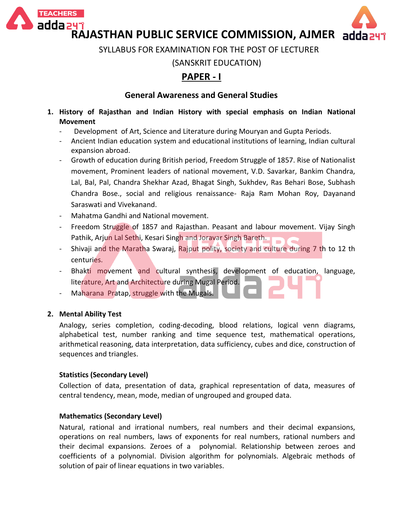



**RAJASTHAN PUBLIC SERVICE COMMISSION, AJMER**

SYLLABUS FOR EXAMINATION FOR THE POST OF LECTURER

(SANSKRIT EDUCATION)

# **PAPER - I**

# **General Awareness and General Studies**

- **1. History of Rajasthan and Indian History with special emphasis on Indian National Movement**
	- Development of Art, Science and Literature during Mouryan and Gupta Periods.
	- Ancient Indian education system and educational institutions of learning, Indian cultural expansion abroad.
	- Growth of education during British period, Freedom Struggle of 1857. Rise of Nationalist movement, Prominent leaders of national movement, V.D. Savarkar, Bankim Chandra, Lal, Bal, Pal, Chandra Shekhar Azad, Bhagat Singh, Sukhdev, Ras Behari Bose, Subhash Chandra Bose., social and religious renaissance- Raja Ram Mohan Roy, Dayanand Saraswati and Vivekanand.
	- Mahatma Gandhi and National movement.
	- Freedom Struggle of 1857 and Rajasthan. Peasant and labour movement. Vijay Singh Pathik, Arjun Lal Sethi, Kesari Singh and Joravar Singh Bareth.
	- Shivaji and the Maratha Swaraj, Rajput polity, society and culture during 7 th to 12 th centuries.
	- Bhakti movement and cultural synthesis, development of education, language, literature, Art and Architecture during Mugal Period.
	- Maharana Pratap, struggle with the Mugals.

# **2. Mental Ability Test**

Analogy, series completion, coding-decoding, blood relations, logical venn diagrams, alphabetical test, number ranking and time sequence test, mathematical operations, arithmetical reasoning, data interpretation, data sufficiency, cubes and dice, construction of sequences and triangles.

# **Statistics (Secondary Level)**

Collection of data, presentation of data, graphical representation of data, measures of central tendency, mean, mode, median of ungrouped and grouped data.

# **Mathematics (Secondary Level)**

Natural, rational and irrational numbers, real numbers and their decimal expansions, operations on real numbers, laws of exponents for real numbers, rational numbers and their decimal expansions. Zeroes of a polynomial. Relationship between zeroes and coefficients of a polynomial. Division algorithm for polynomials. Algebraic methods of solution of pair of linear equations in two variables.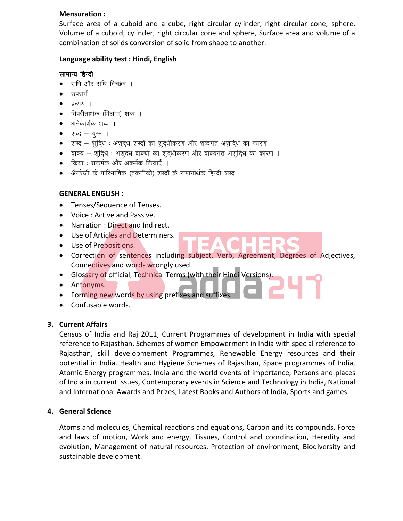#### **Mensuration :**

Surface area of a cuboid and a cube, right circular cylinder, right circular cone, sphere. Volume of a cuboid, cylinder, right circular cone and sphere, Surface area and volume of a combination of solids conversion of solid from shape to another.

## **Language ability test : Hindi, English**

## सामान्य हिन्दी

- सधि और संधि विच्छेद ।
- उपसर्ग ।
- $\bullet$  प्रत्यय ।
- विपरीतार्थक (विलोम) शब्द ।
- अनेकार्थक शब्द ।
- $\bullet$  शब्द युग्म ।
- $\bullet$  ) शब्द शुदिध : अशुद्ध शब्दों का शुद्धीकरण और शब्दगत अशुदि्ध का कारण ।
- $\bullet$  and  $-$  शुदिध : अशुद्ध वाक्यों का शुद्धीकरण और वाक्यगत अशुदिध का कारण ।
- क्रिया : सकर्मक और अकर्मक क्रियाएँ ।
- अँगरेजी के पारिभाषिक (तकनीकी) शब्दों के समानार्थक हिन्दी शब्द ।

# **GENERAL ENGLISH :**

- Tenses/Sequence of Tenses.
- Voice : Active and Passive.
- Narration : Direct and Indirect.
- Use of Articles and Determiners.
- Use of Prepositions.
- Correction of sentences including subject, Verb, Agreement, Degrees of Adjectives, Connectives and words wrongly used.
- Glossary of official, Technical Terms (with their Hindi Versions).
- Antonyms.
- Forming new words by using prefixes and suffixes
- Confusable words.

# **3. Current Affairs**

Census of India and Raj 2011, Current Programmes of development in India with special reference to Rajasthan, Schemes of women Empowerment in India with special reference to Rajasthan, skill developmement Programmes, Renewable Energy resources and their potential in India. Health and Hygiene Schemes of Rajasthan, Space programmes of India, Atomic Energy programmes, India and the world events of importance, Persons and places of India in current issues, Contemporary events in Science and Technology in India, National and International Awards and Prizes, Latest Books and Authors of India, Sports and games.

# **4. General Science**

Atoms and molecules, Chemical reactions and equations, Carbon and its compounds, Force and laws of motion, Work and energy, Tissues, Control and coordination, Heredity and evolution, Management of natural resources, Protection of environment, Biodiversity and sustainable development.